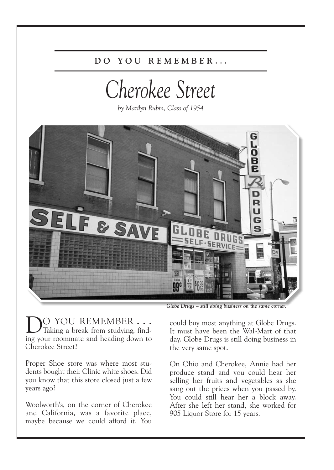## **D O Y O U R E M E M B E R . . .**

## *Cherokee Street*

*by Marilyn Rubin, Class of 1954*



*Globe Drugs – still doing business on the same corner.*

DO YOU REMEMBER . . . Taking <sup>a</sup> break from studying, finding your roommate and heading down to Cherokee Street?

Proper Shoe store was where most students bought their Clinic white shoes. Did you know that this store closed just a few years ago?

Woolworth's, on the corner of Cherokee and California, was a favorite place, maybe because we could afford it. You could buy most anything at Globe Drugs. It must have been the Wal-Mart of that day. Globe Drugs is still doing business in the very same spot.

On Ohio and Cherokee, Annie had her produce stand and you could hear her selling her fruits and vegetables as she sang out the prices when you passed by. You could still hear her a block away. After she left her stand, she worked for 905 Liquor Store for 15 years.